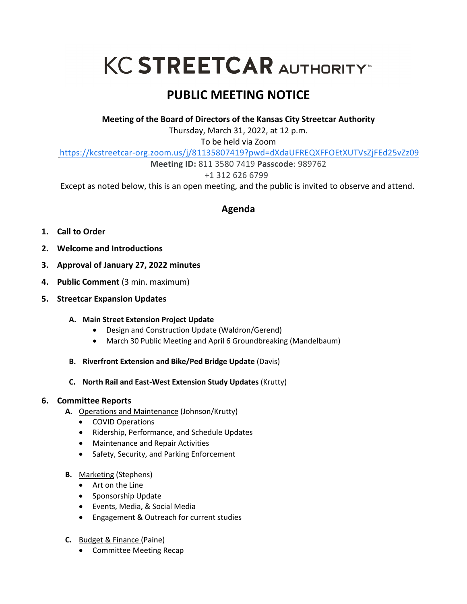# **KC STREETCAR AUTHORITY**

# **PUBLIC MEETING NOTICE**

**Meeting of the Board of Directors of the Kansas City Streetcar Authority**

Thursday, March 31, 2022, at 12 p.m.

To be held via Zoom

https://kcstreetcar-org.zoom.us/j/81135807419?pwd=dXdaUFREQXFFOEtXUTVsZjFEd25vZz09

**Meeting ID:** 811 3580 7419 **Passcode**: 989762

+1 312 626 6799

Except as noted below, this is an open meeting, and the public is invited to observe and attend.

## **Agenda**

- **1. Call to Order**
- **2. Welcome and Introductions**
- **3. Approval of January 27, 2022 minutes**
- **4. Public Comment** (3 min. maximum)
- **5. Streetcar Expansion Updates**

### **A. Main Street Extension Project Update**

- Design and Construction Update (Waldron/Gerend)
- March 30 Public Meeting and April 6 Groundbreaking (Mandelbaum)
- **B. Riverfront Extension and Bike/Ped Bridge Update** (Davis)
- **C. North Rail and East-West Extension Study Updates** (Krutty)

### **6. Committee Reports**

- **A.** Operations and Maintenance (Johnson/Krutty)
	- COVID Operations
	- Ridership, Performance, and Schedule Updates
	- Maintenance and Repair Activities
	- Safety, Security, and Parking Enforcement
- **B.** Marketing (Stephens)
	- Art on the Line
	- Sponsorship Update
	- Events, Media, & Social Media
	- Engagement & Outreach for current studies
- **C.** Budget & Finance (Paine)
	- Committee Meeting Recap